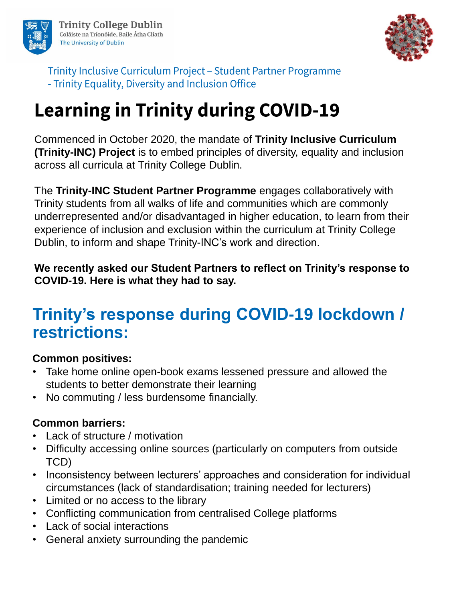



Trinity Inclusive Curriculum Project - Student Partner Programme - Trinity Equality, Diversity and Inclusion Office

# **Learning in Trinity during COVID-19**

Commenced in October 2020, the mandate of **Trinity Inclusive Curriculum (Trinity-INC) Project** is to embed principles of diversity, equality and inclusion across all curricula at Trinity College Dublin.

The **Trinity-INC Student Partner Programme** engages collaboratively with Trinity students from all walks of life and communities which are commonly underrepresented and/or disadvantaged in higher education, to learn from their experience of inclusion and exclusion within the curriculum at Trinity College Dublin, to inform and shape Trinity-INC's work and direction.

**We recently asked our Student Partners to reflect on Trinity's response to COVID-19. Here is what they had to say.**

## **Trinity's response during COVID-19 lockdown / restrictions:**

### **Common positives:**

- Take home online open-book exams lessened pressure and allowed the students to better demonstrate their learning
- No commuting / less burdensome financially.

### **Common barriers:**

- Lack of structure / motivation
- Difficulty accessing online sources (particularly on computers from outside TCD)
- Inconsistency between lecturers' approaches and consideration for individual circumstances (lack of standardisation; training needed for lecturers)
- Limited or no access to the library
- Conflicting communication from centralised College platforms
- Lack of social interactions
- General anxiety surrounding the pandemic